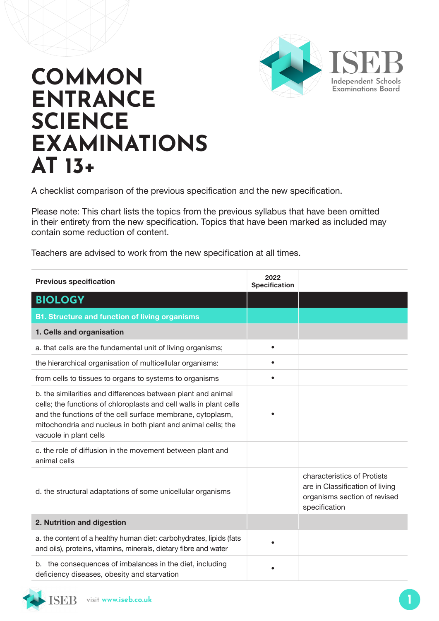

## **COMMON ENTRANCE SCIENCE EXAMINATIONS AT 13+**

A checklist comparison of the previous specification and the new specification.

Please note: This chart lists the topics from the previous syllabus that have been omitted in their entirety from the new specification. Topics that have been marked as included may contain some reduction of content.

Teachers are advised to work from the new specification at all times.

| <b>Previous specification</b>                                                                                                                                                                                                                                                              | 2022<br><b>Specification</b> |                                                                                                                 |
|--------------------------------------------------------------------------------------------------------------------------------------------------------------------------------------------------------------------------------------------------------------------------------------------|------------------------------|-----------------------------------------------------------------------------------------------------------------|
| <b>BIOLOGY</b>                                                                                                                                                                                                                                                                             |                              |                                                                                                                 |
| <b>B1. Structure and function of living organisms</b>                                                                                                                                                                                                                                      |                              |                                                                                                                 |
| 1. Cells and organisation                                                                                                                                                                                                                                                                  |                              |                                                                                                                 |
| a. that cells are the fundamental unit of living organisms;                                                                                                                                                                                                                                | $\bullet$                    |                                                                                                                 |
| the hierarchical organisation of multicellular organisms:                                                                                                                                                                                                                                  |                              |                                                                                                                 |
| from cells to tissues to organs to systems to organisms                                                                                                                                                                                                                                    |                              |                                                                                                                 |
| b. the similarities and differences between plant and animal<br>cells; the functions of chloroplasts and cell walls in plant cells<br>and the functions of the cell surface membrane, cytoplasm,<br>mitochondria and nucleus in both plant and animal cells; the<br>vacuole in plant cells |                              |                                                                                                                 |
| c. the role of diffusion in the movement between plant and<br>animal cells                                                                                                                                                                                                                 |                              |                                                                                                                 |
| d. the structural adaptations of some unicellular organisms                                                                                                                                                                                                                                |                              | characteristics of Protists<br>are in Classification of living<br>organisms section of revised<br>specification |
| 2. Nutrition and digestion                                                                                                                                                                                                                                                                 |                              |                                                                                                                 |
| a. the content of a healthy human diet: carbohydrates, lipids (fats<br>and oils), proteins, vitamins, minerals, dietary fibre and water                                                                                                                                                    |                              |                                                                                                                 |
| b. the consequences of imbalances in the diet, including<br>deficiency diseases, obesity and starvation                                                                                                                                                                                    |                              |                                                                                                                 |

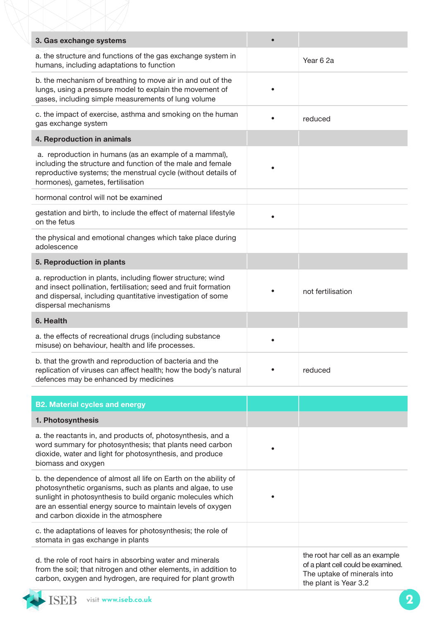| 3. Gas exchange systems                                                                                                                                                                                                                                                                             |                                                                                                                               |
|-----------------------------------------------------------------------------------------------------------------------------------------------------------------------------------------------------------------------------------------------------------------------------------------------------|-------------------------------------------------------------------------------------------------------------------------------|
| a. the structure and functions of the gas exchange system in<br>humans, including adaptations to function                                                                                                                                                                                           | Year 6 2a                                                                                                                     |
| b. the mechanism of breathing to move air in and out of the<br>lungs, using a pressure model to explain the movement of<br>gases, including simple measurements of lung volume                                                                                                                      |                                                                                                                               |
| c. the impact of exercise, asthma and smoking on the human<br>gas exchange system                                                                                                                                                                                                                   | reduced                                                                                                                       |
| 4. Reproduction in animals                                                                                                                                                                                                                                                                          |                                                                                                                               |
| a. reproduction in humans (as an example of a mammal),<br>including the structure and function of the male and female<br>reproductive systems; the menstrual cycle (without details of<br>hormones), gametes, fertilisation                                                                         |                                                                                                                               |
| hormonal control will not be examined                                                                                                                                                                                                                                                               |                                                                                                                               |
| gestation and birth, to include the effect of maternal lifestyle<br>on the fetus                                                                                                                                                                                                                    |                                                                                                                               |
| the physical and emotional changes which take place during<br>adolescence                                                                                                                                                                                                                           |                                                                                                                               |
| 5. Reproduction in plants                                                                                                                                                                                                                                                                           |                                                                                                                               |
| a. reproduction in plants, including flower structure; wind<br>and insect pollination, fertilisation; seed and fruit formation<br>and dispersal, including quantitative investigation of some<br>dispersal mechanisms                                                                               | not fertilisation                                                                                                             |
| 6. Health                                                                                                                                                                                                                                                                                           |                                                                                                                               |
| a. the effects of recreational drugs (including substance<br>misuse) on behaviour, health and life processes.                                                                                                                                                                                       |                                                                                                                               |
| b. that the growth and reproduction of bacteria and the<br>replication of viruses can affect health; how the body's natural<br>defences may be enhanced by medicines                                                                                                                                | reduced                                                                                                                       |
|                                                                                                                                                                                                                                                                                                     |                                                                                                                               |
| <b>B2. Material cycles and energy</b>                                                                                                                                                                                                                                                               |                                                                                                                               |
| 1. Photosynthesis                                                                                                                                                                                                                                                                                   |                                                                                                                               |
| a. the reactants in, and products of, photosynthesis, and a<br>word summary for photosynthesis; that plants need carbon<br>dioxide, water and light for photosynthesis, and produce<br>biomass and oxygen                                                                                           |                                                                                                                               |
| b. the dependence of almost all life on Earth on the ability of<br>photosynthetic organisms, such as plants and algae, to use<br>sunlight in photosynthesis to build organic molecules which<br>are an essential energy source to maintain levels of oxygen<br>and carbon dioxide in the atmosphere |                                                                                                                               |
| c. the adaptations of leaves for photosynthesis; the role of<br>stomata in gas exchange in plants                                                                                                                                                                                                   |                                                                                                                               |
| d. the role of root hairs in absorbing water and minerals<br>from the soil; that nitrogen and other elements, in addition to<br>carbon, oxygen and hydrogen, are required for plant growth                                                                                                          | the root har cell as an example<br>of a plant cell could be examined.<br>The uptake of minerals into<br>the plant is Year 3.2 |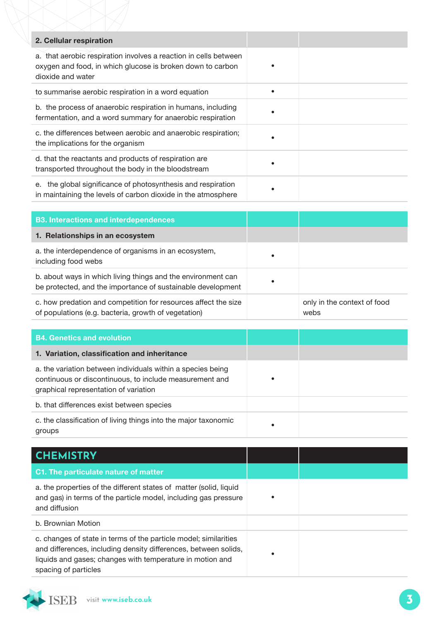| 2. Cellular respiration                                                                                                                             |  |
|-----------------------------------------------------------------------------------------------------------------------------------------------------|--|
| a. that aerobic respiration involves a reaction in cells between<br>oxygen and food, in which glucose is broken down to carbon<br>dioxide and water |  |
| to summarise aerobic respiration in a word equation                                                                                                 |  |
| b. the process of anaerobic respiration in humans, including<br>fermentation, and a word summary for anaerobic respiration                          |  |
| c. the differences between aerobic and anaerobic respiration;<br>the implications for the organism                                                  |  |
| d. that the reactants and products of respiration are<br>transported throughout the body in the bloodstream                                         |  |
| e. the global significance of photosynthesis and respiration<br>in maintaining the levels of carbon dioxide in the atmosphere                       |  |

| <b>B3. Interactions and interdependences</b>                                                                                |           |                                     |
|-----------------------------------------------------------------------------------------------------------------------------|-----------|-------------------------------------|
| 1. Relationships in an ecosystem                                                                                            |           |                                     |
| a. the interdependence of organisms in an ecosystem,<br>including food webs                                                 | $\bullet$ |                                     |
| b. about ways in which living things and the environment can<br>be protected, and the importance of sustainable development |           |                                     |
| c. how predation and competition for resources affect the size<br>of populations (e.g. bacteria, growth of vegetation)      |           | only in the context of food<br>webs |

| <b>B4. Genetics and evolution</b>                                                                                                                               |   |
|-----------------------------------------------------------------------------------------------------------------------------------------------------------------|---|
| 1. Variation, classification and inheritance                                                                                                                    |   |
| a. the variation between individuals within a species being<br>continuous or discontinuous, to include measurement and<br>graphical representation of variation |   |
| b. that differences exist between species                                                                                                                       |   |
| c. the classification of living things into the major taxonomic<br>groups                                                                                       | ٠ |

| <b>CHEMISTRY</b>                                                                                                                                                                                                         |  |
|--------------------------------------------------------------------------------------------------------------------------------------------------------------------------------------------------------------------------|--|
| C1. The particulate nature of matter                                                                                                                                                                                     |  |
| a. the properties of the different states of matter (solid, liquid<br>and gas) in terms of the particle model, including gas pressure<br>and diffusion                                                                   |  |
| b. Brownian Motion                                                                                                                                                                                                       |  |
| c. changes of state in terms of the particle model; similarities<br>and differences, including density differences, between solids,<br>liquids and gases; changes with temperature in motion and<br>spacing of particles |  |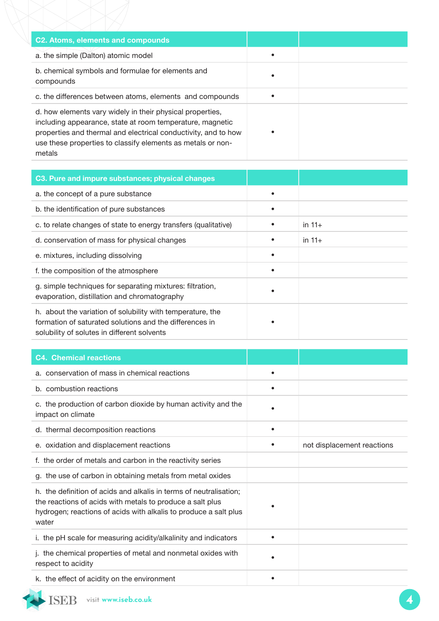| C2. Atoms, elements and compounds                                                                                                                                                                                                                                 |  |
|-------------------------------------------------------------------------------------------------------------------------------------------------------------------------------------------------------------------------------------------------------------------|--|
| a. the simple (Dalton) atomic model                                                                                                                                                                                                                               |  |
| b. chemical symbols and formulae for elements and<br>compounds                                                                                                                                                                                                    |  |
| c. the differences between atoms, elements and compounds                                                                                                                                                                                                          |  |
| d. how elements vary widely in their physical properties,<br>including appearance, state at room temperature, magnetic<br>properties and thermal and electrical conductivity, and to how<br>use these properties to classify elements as metals or non-<br>metals |  |

| C3. Pure and impure substances; physical changes                                                                                                                     |           |          |
|----------------------------------------------------------------------------------------------------------------------------------------------------------------------|-----------|----------|
| a. the concept of a pure substance                                                                                                                                   |           |          |
| b. the identification of pure substances                                                                                                                             | $\bullet$ |          |
| c. to relate changes of state to energy transfers (qualitative)                                                                                                      |           | in $11+$ |
| d. conservation of mass for physical changes                                                                                                                         |           | in $11+$ |
| e. mixtures, including dissolving                                                                                                                                    |           |          |
| f. the composition of the atmosphere                                                                                                                                 |           |          |
| g. simple techniques for separating mixtures: filtration,<br>evaporation, distillation and chromatography                                                            |           |          |
| h. about the variation of solubility with temperature, the<br>formation of saturated solutions and the differences in<br>solubility of solutes in different solvents |           |          |

| <b>C4. Chemical reactions</b>                                                                                                                                                                                |                            |
|--------------------------------------------------------------------------------------------------------------------------------------------------------------------------------------------------------------|----------------------------|
| a. conservation of mass in chemical reactions                                                                                                                                                                |                            |
| b. combustion reactions                                                                                                                                                                                      |                            |
| c. the production of carbon dioxide by human activity and the<br>impact on climate                                                                                                                           |                            |
| d. thermal decomposition reactions                                                                                                                                                                           |                            |
| e. oxidation and displacement reactions                                                                                                                                                                      | not displacement reactions |
| f. the order of metals and carbon in the reactivity series                                                                                                                                                   |                            |
| g. the use of carbon in obtaining metals from metal oxides                                                                                                                                                   |                            |
| h. the definition of acids and alkalis in terms of neutralisation;<br>the reactions of acids with metals to produce a salt plus<br>hydrogen; reactions of acids with alkalis to produce a salt plus<br>water |                            |
| i. the pH scale for measuring acidity/alkalinity and indicators                                                                                                                                              |                            |
| j. the chemical properties of metal and nonmetal oxides with<br>respect to acidity                                                                                                                           |                            |
| k. the effect of acidity on the environment                                                                                                                                                                  |                            |

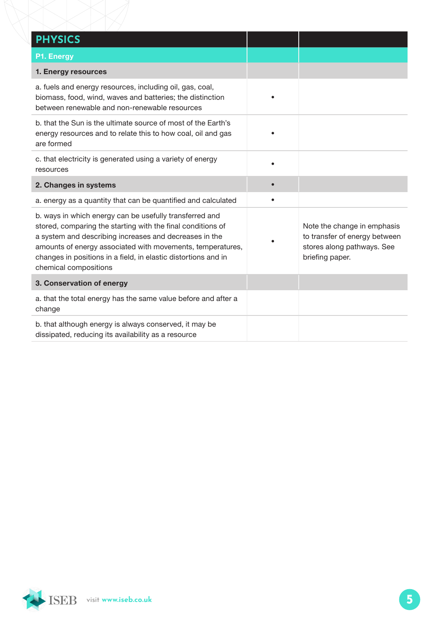| <b>PHYSICS</b>                                                                                                                                                                                                                                                                                                                            |                                                                                                               |
|-------------------------------------------------------------------------------------------------------------------------------------------------------------------------------------------------------------------------------------------------------------------------------------------------------------------------------------------|---------------------------------------------------------------------------------------------------------------|
| P1. Energy                                                                                                                                                                                                                                                                                                                                |                                                                                                               |
| 1. Energy resources                                                                                                                                                                                                                                                                                                                       |                                                                                                               |
| a. fuels and energy resources, including oil, gas, coal,<br>biomass, food, wind, waves and batteries; the distinction<br>between renewable and non-renewable resources                                                                                                                                                                    |                                                                                                               |
| b. that the Sun is the ultimate source of most of the Earth's<br>energy resources and to relate this to how coal, oil and gas<br>are formed                                                                                                                                                                                               |                                                                                                               |
| c. that electricity is generated using a variety of energy<br>resources                                                                                                                                                                                                                                                                   |                                                                                                               |
| 2. Changes in systems                                                                                                                                                                                                                                                                                                                     |                                                                                                               |
| a. energy as a quantity that can be quantified and calculated                                                                                                                                                                                                                                                                             |                                                                                                               |
| b. ways in which energy can be usefully transferred and<br>stored, comparing the starting with the final conditions of<br>a system and describing increases and decreases in the<br>amounts of energy associated with movements, temperatures,<br>changes in positions in a field, in elastic distortions and in<br>chemical compositions | Note the change in emphasis<br>to transfer of energy between<br>stores along pathways. See<br>briefing paper. |
| 3. Conservation of energy                                                                                                                                                                                                                                                                                                                 |                                                                                                               |
| a. that the total energy has the same value before and after a<br>change                                                                                                                                                                                                                                                                  |                                                                                                               |
| b. that although energy is always conserved, it may be<br>dissipated, reducing its availability as a resource                                                                                                                                                                                                                             |                                                                                                               |

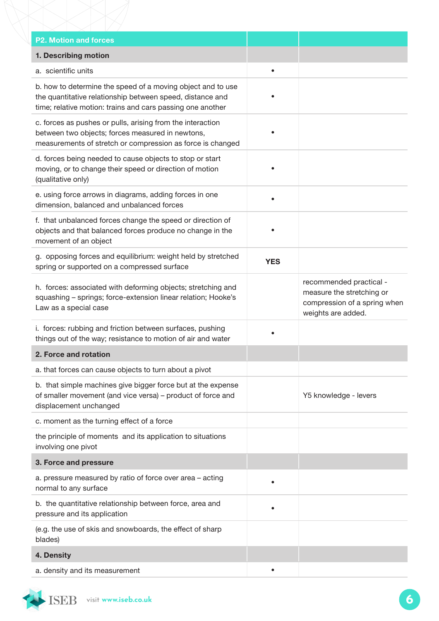| <b>P2. Motion and forces</b>                                                                                                                                                           |            |                                                                                                            |
|----------------------------------------------------------------------------------------------------------------------------------------------------------------------------------------|------------|------------------------------------------------------------------------------------------------------------|
| 1. Describing motion                                                                                                                                                                   |            |                                                                                                            |
| a. scientific units                                                                                                                                                                    | $\bullet$  |                                                                                                            |
| b. how to determine the speed of a moving object and to use<br>the quantitative relationship between speed, distance and<br>time; relative motion: trains and cars passing one another |            |                                                                                                            |
| c. forces as pushes or pulls, arising from the interaction<br>between two objects; forces measured in newtons,<br>measurements of stretch or compression as force is changed           |            |                                                                                                            |
| d. forces being needed to cause objects to stop or start<br>moving, or to change their speed or direction of motion<br>(qualitative only)                                              |            |                                                                                                            |
| e. using force arrows in diagrams, adding forces in one<br>dimension, balanced and unbalanced forces                                                                                   |            |                                                                                                            |
| f. that unbalanced forces change the speed or direction of<br>objects and that balanced forces produce no change in the<br>movement of an object                                       |            |                                                                                                            |
| g. opposing forces and equilibrium: weight held by stretched<br>spring or supported on a compressed surface                                                                            | <b>YES</b> |                                                                                                            |
| h. forces: associated with deforming objects; stretching and<br>squashing - springs; force-extension linear relation; Hooke's<br>Law as a special case                                 |            | recommended practical -<br>measure the stretching or<br>compression of a spring when<br>weights are added. |
| i. forces: rubbing and friction between surfaces, pushing<br>things out of the way; resistance to motion of air and water                                                              |            |                                                                                                            |
| 2. Force and rotation                                                                                                                                                                  |            |                                                                                                            |
| a. that forces can cause objects to turn about a pivot                                                                                                                                 |            |                                                                                                            |
| b. that simple machines give bigger force but at the expense<br>of smaller movement (and vice versa) - product of force and<br>displacement unchanged                                  |            | Y5 knowledge - levers                                                                                      |
| c. moment as the turning effect of a force                                                                                                                                             |            |                                                                                                            |
| the principle of moments and its application to situations<br>involving one pivot                                                                                                      |            |                                                                                                            |
| 3. Force and pressure                                                                                                                                                                  |            |                                                                                                            |
| a. pressure measured by ratio of force over area - acting<br>normal to any surface                                                                                                     |            |                                                                                                            |
| b. the quantitative relationship between force, area and<br>pressure and its application                                                                                               |            |                                                                                                            |
| (e.g. the use of skis and snowboards, the effect of sharp<br>blades)                                                                                                                   |            |                                                                                                            |
| 4. Density                                                                                                                                                                             |            |                                                                                                            |
| a. density and its measurement                                                                                                                                                         |            |                                                                                                            |

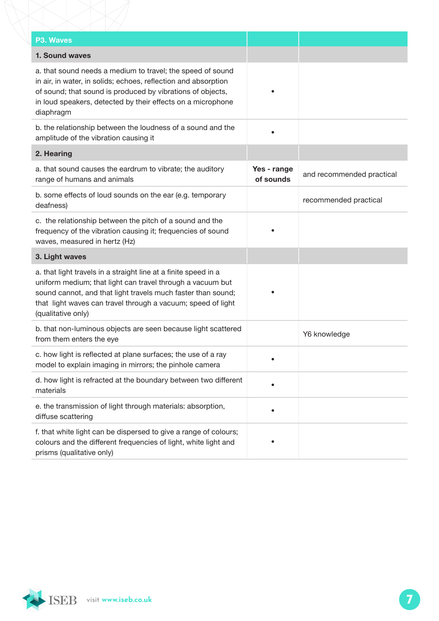| <b>P3. Waves</b>                                                                                                                                                                                                                                                                    |                          |                           |
|-------------------------------------------------------------------------------------------------------------------------------------------------------------------------------------------------------------------------------------------------------------------------------------|--------------------------|---------------------------|
| 1. Sound waves                                                                                                                                                                                                                                                                      |                          |                           |
| a. that sound needs a medium to travel; the speed of sound<br>in air, in water, in solids; echoes, reflection and absorption<br>of sound; that sound is produced by vibrations of objects,<br>in loud speakers, detected by their effects on a microphone<br>diaphragm              |                          |                           |
| b. the relationship between the loudness of a sound and the<br>amplitude of the vibration causing it                                                                                                                                                                                |                          |                           |
| 2. Hearing                                                                                                                                                                                                                                                                          |                          |                           |
| a. that sound causes the eardrum to vibrate; the auditory<br>range of humans and animals                                                                                                                                                                                            | Yes - range<br>of sounds | and recommended practical |
| b. some effects of loud sounds on the ear (e.g. temporary<br>deafness)                                                                                                                                                                                                              |                          | recommended practical     |
| c. the relationship between the pitch of a sound and the<br>frequency of the vibration causing it; frequencies of sound<br>waves, measured in hertz (Hz)                                                                                                                            |                          |                           |
| 3. Light waves                                                                                                                                                                                                                                                                      |                          |                           |
| a. that light travels in a straight line at a finite speed in a<br>uniform medium; that light can travel through a vacuum but<br>sound cannot, and that light travels much faster than sound;<br>that light waves can travel through a vacuum; speed of light<br>(qualitative only) |                          |                           |
| b. that non-luminous objects are seen because light scattered<br>from them enters the eye                                                                                                                                                                                           |                          | Y6 knowledge              |
| c. how light is reflected at plane surfaces; the use of a ray<br>model to explain imaging in mirrors; the pinhole camera                                                                                                                                                            |                          |                           |
| d. how light is refracted at the boundary between two different<br>materials                                                                                                                                                                                                        |                          |                           |
| e. the transmission of light through materials: absorption,<br>diffuse scattering                                                                                                                                                                                                   |                          |                           |
| f. that white light can be dispersed to give a range of colours;<br>colours and the different frequencies of light, white light and<br>prisms (qualitative only)                                                                                                                    |                          |                           |